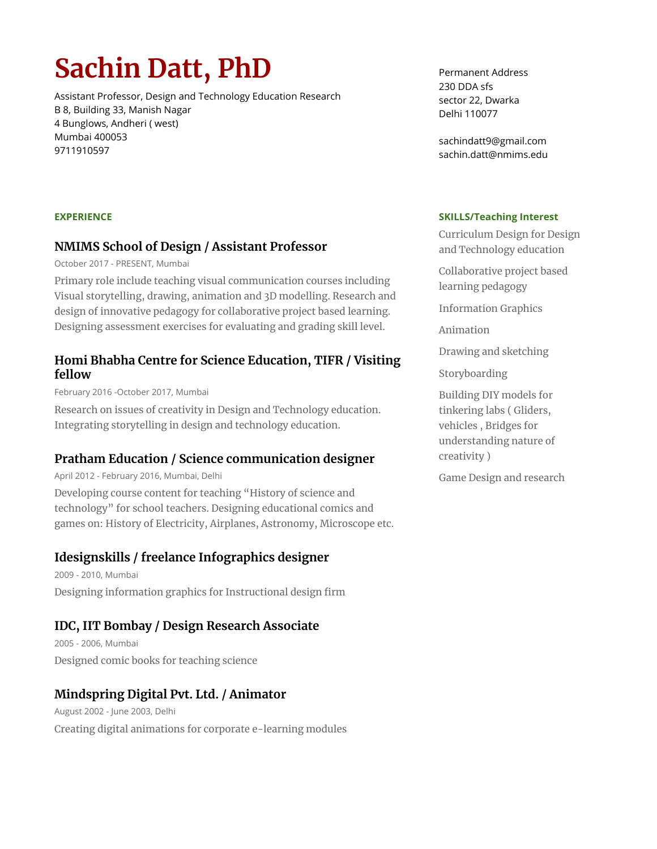# **Sachin Datt, PhD**

Assistant Professor, Design and Technology Education Research B 8, Building 33, Manish Nagar 4 Bunglows, Andheri ( west) Mumbai 400053 9711910597

Permanent Address 230 DDA sfs sector 22, Dwarka Delhi 110077

sachindatt9@gmail.com sachin.datt@nmims.edu

#### **SKILLS/Teaching Interest**

Curriculum Design for Design and Technology education

Collaborative project based learning pedagogy

Information Graphics

Animation

Drawing and sketching

Storyboarding

Building DIY models for tinkering labs ( Gliders, vehicles , Bridges for understanding nature of creativity )

Game Design and research

#### **EXPERIENCE**

#### **NMIMS School of Design / Assistant Professor**

October 2017 - PRESENT, Mumbai

Primary role include teaching visual communication courses including Visual storytelling, drawing, animation and 3D modelling. Research and design of innovative pedagogy for collaborative project based learning. Designing assessment exercises for evaluating and grading skill level.

## **Homi Bhabha Centre for Science Education, TIFR / Visiting fellow**

February 2016 -October 2017, Mumbai

Research on issues of creativity in Design and Technology education. Integrating storytelling in design and technology education.

# **Pratham Education / Science communication designer**

April 2012 - February 2016, Mumbai, Delhi

Developing course content for teaching "History of science and technology" for school teachers. Designing educational comics and games on: History of Electricity, Airplanes, Astronomy, Microscope etc.

# **Idesignskills / freelance Infographics designer**

2009 - 2010, Mumbai Designing information graphics for Instructional design firm

# **IDC, IIT Bombay / Design Research Associate**

2005 - 2006, Mumbai Designed comic books for teaching science

# **Mindspring Digital Pvt. Ltd. / Animator**

August 2002 - June 2003, Delhi Creating digital animations for corporate e-learning modules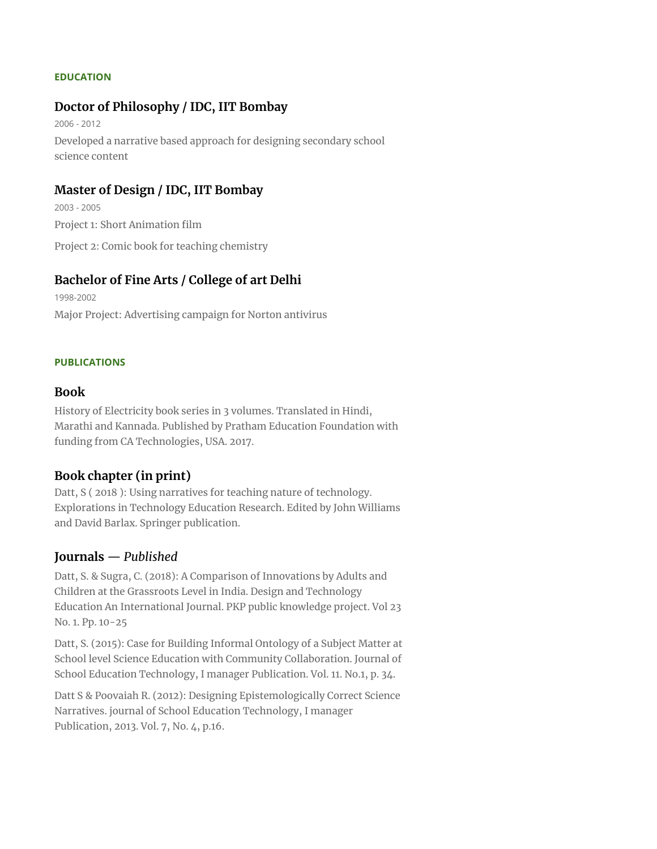#### **EDUCATION**

## **Doctor of Philosophy / IDC, IIT Bombay**

2006 - 2012 Developed a narrative based approach for designing secondary school science content

### **Master of Design / IDC, IIT Bombay**

2003 - 2005 Project 1: Short Animation film Project 2: Comic book for teaching chemistry

## **Bachelor of Fine Arts / College of art Delhi**

1998-2002 Major Project: Advertising campaign for Norton antivirus

#### **PUBLICATIONS**

#### **Book**

History of Electricity book series in 3 volumes. Translated in Hindi, Marathi and Kannada. Published by Pratham Education Foundation with funding from CA Technologies, USA. 2017.

## **Book chapter (in print)**

Datt, S ( 2018 ): Using narratives for teaching nature of technology. Explorations in Technology Education Research. Edited by John Williams and David Barlax. Springer publication.

## **Journals** — *Published*

Datt, S. & Sugra, C. (2018): A Comparison of Innovations by Adults and Children at the Grassroots Level in India. Design and Technology Education An International Journal. PKP public knowledge project. Vol 23 No. 1. Pp. 10-25

Datt, S. (2015): Case for Building Informal Ontology of a Subject Matter at School level Science Education with Community Collaboration. Journal of School Education Technology, I manager Publication. Vol. 11. No.1, p. 34.

Datt S & Poovaiah R. (2012): Designing Epistemologically Correct Science Narratives. journal of School Education Technology, I manager Publication, 2013. Vol. 7, No. 4, p.16.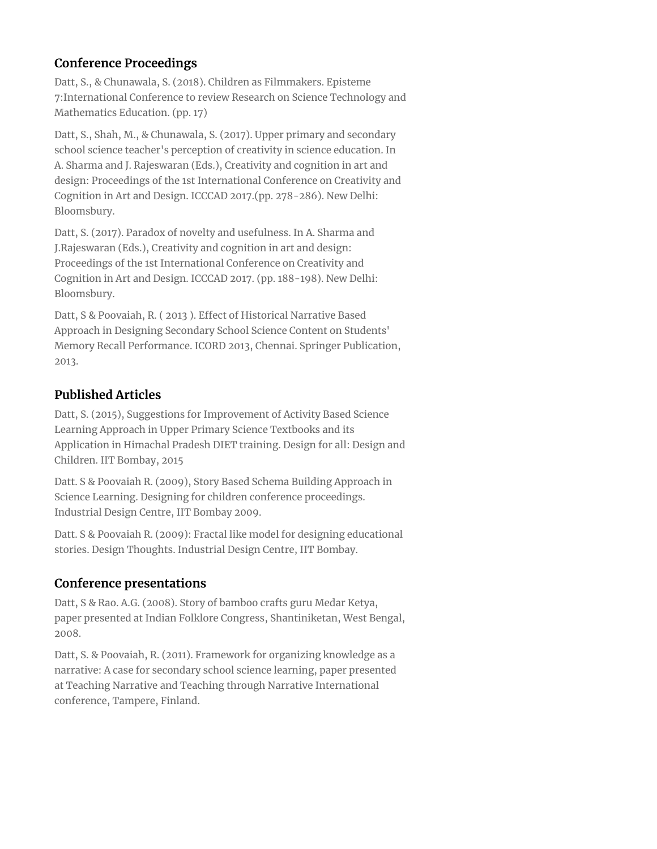# **Conference Proceedings**

Datt, S., & Chunawala, S. (2018). Children as Filmmakers. Episteme 7:International Conference to review Research on Science Technology and Mathematics Education. (pp. 17)

Datt, S., Shah, M., & Chunawala, S. (2017). Upper primary and secondary school science teacher's perception of creativity in science education. In A. Sharma and J. Rajeswaran (Eds.), Creativity and cognition in art and design: Proceedings of the 1st International Conference on Creativity and Cognition in Art and Design. ICCCAD 2017.(pp. 278-286). New Delhi: Bloomsbury.

Datt, S. (2017). Paradox of novelty and usefulness. In A. Sharma and J.Rajeswaran (Eds.), Creativity and cognition in art and design: Proceedings of the 1st International Conference on Creativity and Cognition in Art and Design. ICCCAD 2017. (pp. 188-198). New Delhi: Bloomsbury.

Datt, S & Poovaiah, R. ( 2013 ). Effect of Historical Narrative Based Approach in Designing Secondary School Science Content on Students' Memory Recall Performance. ICORD 2013, Chennai. Springer Publication, 2013.

# **Published Articles**

Datt, S. (2015), Suggestions for Improvement of Activity Based Science Learning Approach in Upper Primary Science Textbooks and its Application in Himachal Pradesh DIET training. Design for all: Design and Children. IIT Bombay, 2015

Datt. S & Poovaiah R. (2009), Story Based Schema Building Approach in Science Learning. Designing for children conference proceedings. Industrial Design Centre, IIT Bombay 2009.

Datt. S & Poovaiah R. (2009): Fractal like model for designing educational stories. Design Thoughts. Industrial Design Centre, IIT Bombay.

# **Conference presentations**

Datt, S & Rao. A.G. (2008). Story of bamboo crafts guru Medar Ketya, paper presented at Indian Folklore Congress, Shantiniketan, West Bengal, 2008.

Datt, S. & Poovaiah, R. (2011). Framework for organizing knowledge as a narrative: A case for secondary school science learning, paper presented at Teaching Narrative and Teaching through Narrative International conference, Tampere, Finland.